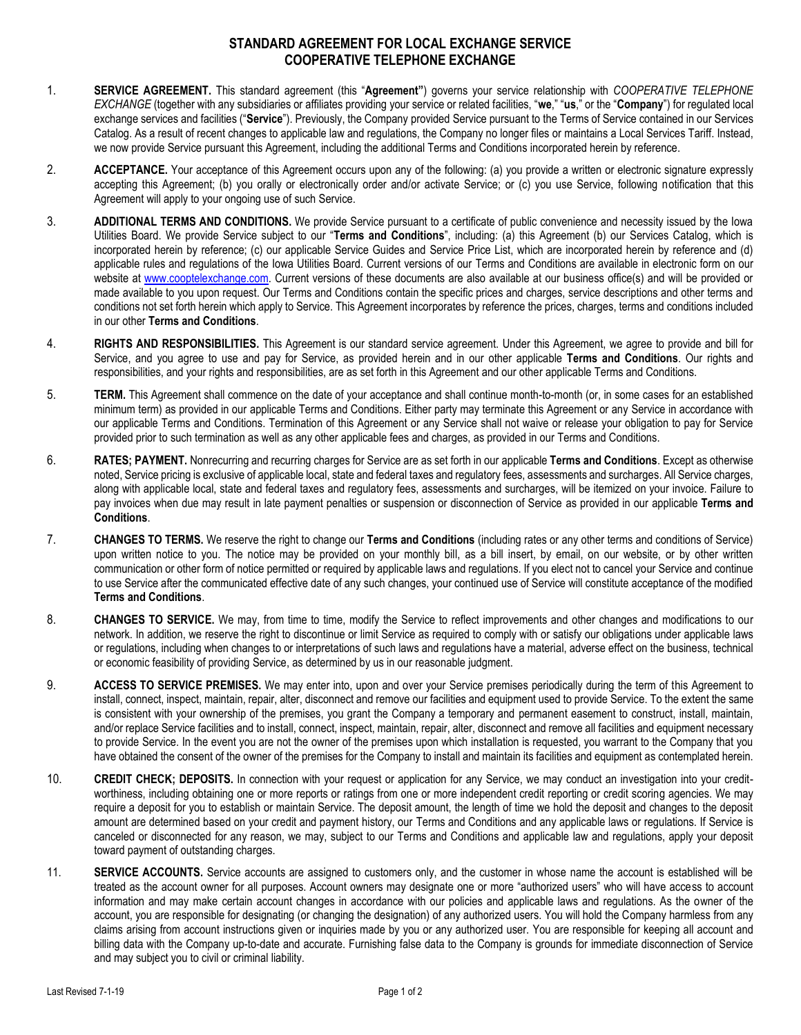## **STANDARD AGREEMENT FOR LOCAL EXCHANGE SERVICE COOPERATIVE TELEPHONE EXCHANGE**

- 1. **SERVICE AGREEMENT.** This standard agreement (this "**Agreement"**) governs your service relationship with *COOPERATIVE TELEPHONE EXCHANGE* (together with any subsidiaries or affiliates providing your service or related facilities, "**we**," "**us**," or the "**Company**") for regulated local exchange services and facilities ("**Service**"). Previously, the Company provided Service pursuant to the Terms of Service contained in our Services Catalog. As a result of recent changes to applicable law and regulations, the Company no longer files or maintains a Local Services Tariff. Instead, we now provide Service pursuant this Agreement, including the additional Terms and Conditions incorporated herein by reference.
- 2. **ACCEPTANCE.** Your acceptance of this Agreement occurs upon any of the following: (a) you provide a written or electronic signature expressly accepting this Agreement; (b) you orally or electronically order and/or activate Service; or (c) you use Service, following notification that this Agreement will apply to your ongoing use of such Service.
- 3. **ADDITIONAL TERMS AND CONDITIONS.** We provide Service pursuant to a certificate of public convenience and necessity issued by the Iowa Utilities Board. We provide Service subject to our "**Terms and Conditions**", including: (a) this Agreement (b) our Services Catalog, which is incorporated herein by reference; (c) our applicable Service Guides and Service Price List, which are incorporated herein by reference and (d) applicable rules and regulations of the Iowa Utilities Board. Current versions of our Terms and Conditions are available in electronic form on our website at [www.cooptelexchange.c](http://www.cooptelexchange./)om. Current versions of these documents are also available at our business office(s) and will be provided or made available to you upon request. Our Terms and Conditions contain the specific prices and charges, service descriptions and other terms and conditions not set forth herein which apply to Service. This Agreement incorporates by reference the prices, charges, terms and conditions included in our other **Terms and Conditions**.
- 4. **RIGHTS AND RESPONSIBILITIES.** This Agreement is our standard service agreement. Under this Agreement, we agree to provide and bill for Service, and you agree to use and pay for Service, as provided herein and in our other applicable **Terms and Conditions**. Our rights and responsibilities, and your rights and responsibilities, are as set forth in this Agreement and our other applicable Terms and Conditions.
- 5. **TERM.** This Agreement shall commence on the date of your acceptance and shall continue month-to-month (or, in some cases for an established minimum term) as provided in our applicable Terms and Conditions. Either party may terminate this Agreement or any Service in accordance with our applicable Terms and Conditions. Termination of this Agreement or any Service shall not waive or release your obligation to pay for Service provided prior to such termination as well as any other applicable fees and charges, as provided in our Terms and Conditions.
- 6. **RATES; PAYMENT.** Nonrecurring and recurring charges for Service are as set forth in our applicable **Terms and Conditions**. Except as otherwise noted, Service pricing is exclusive of applicable local, state and federal taxes and regulatory fees, assessments and surcharges. All Service charges, along with applicable local, state and federal taxes and regulatory fees, assessments and surcharges, will be itemized on your invoice. Failure to pay invoices when due may result in late payment penalties or suspension or disconnection of Service as provided in our applicable **Terms and Conditions**.
- 7. **CHANGES TO TERMS.** We reserve the right to change our **Terms and Conditions** (including rates or any other terms and conditions of Service) upon written notice to you. The notice may be provided on your monthly bill, as a bill insert, by email, on our website, or by other written communication or other form of notice permitted or required by applicable laws and regulations. If you elect not to cancel your Service and continue to use Service after the communicated effective date of any such changes, your continued use of Service will constitute acceptance of the modified **Terms and Conditions**.
- 8. **CHANGES TO SERVICE.** We may, from time to time, modify the Service to reflect improvements and other changes and modifications to our network. In addition, we reserve the right to discontinue or limit Service as required to comply with or satisfy our obligations under applicable laws or regulations, including when changes to or interpretations of such laws and regulations have a material, adverse effect on the business, technical or economic feasibility of providing Service, as determined by us in our reasonable judgment.
- 9. **ACCESS TO SERVICE PREMISES.** We may enter into, upon and over your Service premises periodically during the term of this Agreement to install, connect, inspect, maintain, repair, alter, disconnect and remove our facilities and equipment used to provide Service. To the extent the same is consistent with your ownership of the premises, you grant the Company a temporary and permanent easement to construct, install, maintain, and/or replace Service facilities and to install, connect, inspect, maintain, repair, alter, disconnect and remove all facilities and equipment necessary to provide Service. In the event you are not the owner of the premises upon which installation is requested, you warrant to the Company that you have obtained the consent of the owner of the premises for the Company to install and maintain its facilities and equipment as contemplated herein.
- 10. **CREDIT CHECK; DEPOSITS.** In connection with your request or application for any Service, we may conduct an investigation into your creditworthiness, including obtaining one or more reports or ratings from one or more independent credit reporting or credit scoring agencies. We may require a deposit for you to establish or maintain Service. The deposit amount, the length of time we hold the deposit and changes to the deposit amount are determined based on your credit and payment history, our Terms and Conditions and any applicable laws or regulations. If Service is canceled or disconnected for any reason, we may, subject to our Terms and Conditions and applicable law and regulations, apply your deposit toward payment of outstanding charges.
- 11. **SERVICE ACCOUNTS.** Service accounts are assigned to customers only, and the customer in whose name the account is established will be treated as the account owner for all purposes. Account owners may designate one or more "authorized users" who will have access to account information and may make certain account changes in accordance with our policies and applicable laws and regulations. As the owner of the account, you are responsible for designating (or changing the designation) of any authorized users. You will hold the Company harmless from any claims arising from account instructions given or inquiries made by you or any authorized user. You are responsible for keeping all account and billing data with the Company up-to-date and accurate. Furnishing false data to the Company is grounds for immediate disconnection of Service and may subject you to civil or criminal liability.